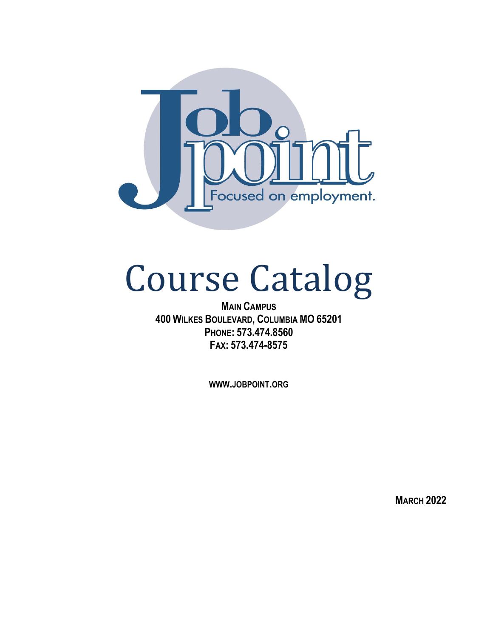

# Course Catalog

**MAIN CAMPUS 400 WILKES BOULEVARD, COLUMBIA MO 65201 PHONE: 573.474.8560 FAX: 573.474-8575**

**WWW.JOBPOINT.ORG**

**MARCH 2022**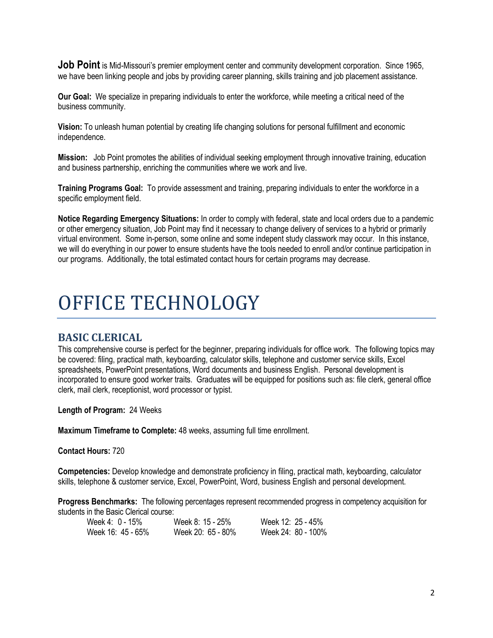**Job Point** is Mid-Missouri's premier employment center and community development corporation. Since 1965, we have been linking people and jobs by providing career planning, skills training and job placement assistance.

**Our Goal:** We specialize in preparing individuals to enter the workforce, while meeting a critical need of the business community.

**Vision:** To unleash human potential by creating life changing solutions for personal fulfillment and economic independence.

**Mission:** Job Point promotes the abilities of individual seeking employment through innovative training, education and business partnership, enriching the communities where we work and live.

**Training Programs Goal:** To provide assessment and training, preparing individuals to enter the workforce in a specific employment field.

**Notice Regarding Emergency Situations:** In order to comply with federal, state and local orders due to a pandemic or other emergency situation, Job Point may find it necessary to change delivery of services to a hybrid or primarily virtual environment. Some in-person, some online and some indepent study classwork may occur. In this instance, we will do everything in our power to ensure students have the tools needed to enroll and/or continue participation in our programs. Additionally, the total estimated contact hours for certain programs may decrease.

## OFFICE TECHNOLOGY

## **BASIC CLERICAL**

This comprehensive course is perfect for the beginner, preparing individuals for office work. The following topics may be covered: filing, practical math, keyboarding, calculator skills, telephone and customer service skills, Excel spreadsheets, PowerPoint presentations, Word documents and business English. Personal development is incorporated to ensure good worker traits. Graduates will be equipped for positions such as: file clerk, general office clerk, mail clerk, receptionist, word processor or typist.

**Length of Program:** 24 Weeks

**Maximum Timeframe to Complete:** 48 weeks, assuming full time enrollment.

**Contact Hours:** 720

**Competencies:** Develop knowledge and demonstrate proficiency in filing, practical math, keyboarding, calculator skills, telephone & customer service, Excel, PowerPoint, Word, business English and personal development.

**Progress Benchmarks:** The following percentages represent recommended progress in competency acquisition for students in the Basic Clerical course:

| Week $4:0-15%$    | Week 8: 15 - 25%  | Week 12: 25 - 45%  |
|-------------------|-------------------|--------------------|
| Week 16: 45 - 65% | Week 20: 65 - 80% | Week 24: 80 - 100% |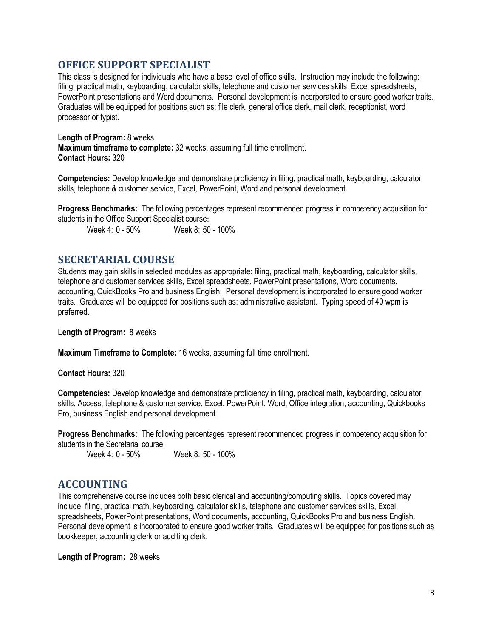## **OFFICE SUPPORT SPECIALIST**

This class is designed for individuals who have a base level of office skills. Instruction may include the following: filing, practical math, keyboarding, calculator skills, telephone and customer services skills, Excel spreadsheets, PowerPoint presentations and Word documents. Personal development is incorporated to ensure good worker traits. Graduates will be equipped for positions such as: file clerk, general office clerk, mail clerk, receptionist, word processor or typist.

**Length of Program:** 8 weeks **Maximum timeframe to complete:** 32 weeks, assuming full time enrollment. **Contact Hours:** 320

**Competencies:** Develop knowledge and demonstrate proficiency in filing, practical math, keyboarding, calculator skills, telephone & customer service, Excel, PowerPoint, Word and personal development.

**Progress Benchmarks:** The following percentages represent recommended progress in competency acquisition for students in the Office Support Specialist course:<br>Week 4: 0 - 50% Week 8: 50

Week 8: 50 - 100%

## **SECRETARIAL COURSE**

Students may gain skills in selected modules as appropriate: filing, practical math, keyboarding, calculator skills, telephone and customer services skills, Excel spreadsheets, PowerPoint presentations, Word documents, accounting, QuickBooks Pro and business English. Personal development is incorporated to ensure good worker traits. Graduates will be equipped for positions such as: administrative assistant. Typing speed of 40 wpm is preferred.

**Length of Program:** 8 weeks

**Maximum Timeframe to Complete:** 16 weeks, assuming full time enrollment.

**Contact Hours:** 320

**Competencies:** Develop knowledge and demonstrate proficiency in filing, practical math, keyboarding, calculator skills, Access, telephone & customer service, Excel, PowerPoint, Word, Office integration, accounting, Quickbooks Pro, business English and personal development.

**Progress Benchmarks:** The following percentages represent recommended progress in competency acquisition for students in the Secretarial course:

Week 4: 0 - 50% Week 8: 50 - 100%

## **ACCOUNTING**

This comprehensive course includes both basic clerical and accounting/computing skills. Topics covered may include: filing, practical math, keyboarding, calculator skills, telephone and customer services skills, Excel spreadsheets, PowerPoint presentations, Word documents, accounting, QuickBooks Pro and business English. Personal development is incorporated to ensure good worker traits. Graduates will be equipped for positions such as bookkeeper, accounting clerk or auditing clerk.

**Length of Program:** 28 weeks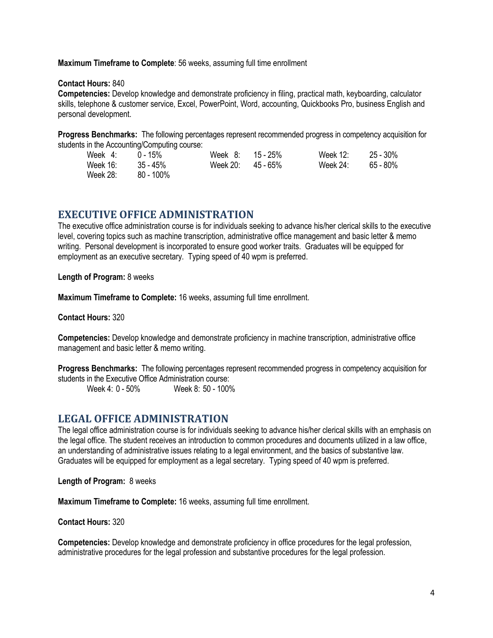**Maximum Timeframe to Complete**: 56 weeks, assuming full time enrollment

**Contact Hours:** 840

**Competencies:** Develop knowledge and demonstrate proficiency in filing, practical math, keyboarding, calculator skills, telephone & customer service, Excel, PowerPoint, Word, accounting, Quickbooks Pro, business English and personal development.

**Progress Benchmarks:** The following percentages represent recommended progress in competency acquisition for students in the Accounting/Computing course:

| Week 4:    | _<br>15%                      | Week<br>о.<br>v. | 15 - 25%       | <b>Week 12:</b> | 30%<br>$25 -$ |
|------------|-------------------------------|------------------|----------------|-----------------|---------------|
| 16<br>Week | $5 - 45%$<br>$\sim$<br><br>◡◡ | Week 20:         | $-65%$<br>45 · | Week 24.        | $65 - 80%$    |
| Week 28:   | 100%<br>80.                   |                  |                |                 |               |

## **EXECUTIVE OFFICE ADMINISTRATION**

The executive office administration course is for individuals seeking to advance his/her clerical skills to the executive level, covering topics such as machine transcription, administrative office management and basic letter & memo writing. Personal development is incorporated to ensure good worker traits. Graduates will be equipped for employment as an executive secretary. Typing speed of 40 wpm is preferred.

**Length of Program:** 8 weeks

**Maximum Timeframe to Complete:** 16 weeks, assuming full time enrollment.

**Contact Hours:** 320

**Competencies:** Develop knowledge and demonstrate proficiency in machine transcription, administrative office management and basic letter & memo writing.

**Progress Benchmarks:** The following percentages represent recommended progress in competency acquisition for students in the Executive Office Administration course:

Week 4: 0 - 50% Week 8: 50 - 100%

## **LEGAL OFFICE ADMINISTRATION**

The legal office administration course is for individuals seeking to advance his/her clerical skills with an emphasis on the legal office. The student receives an introduction to common procedures and documents utilized in a law office, an understanding of administrative issues relating to a legal environment, and the basics of substantive law. Graduates will be equipped for employment as a legal secretary. Typing speed of 40 wpm is preferred.

**Length of Program:** 8 weeks

**Maximum Timeframe to Complete:** 16 weeks, assuming full time enrollment.

**Contact Hours:** 320

**Competencies:** Develop knowledge and demonstrate proficiency in office procedures for the legal profession, administrative procedures for the legal profession and substantive procedures for the legal profession.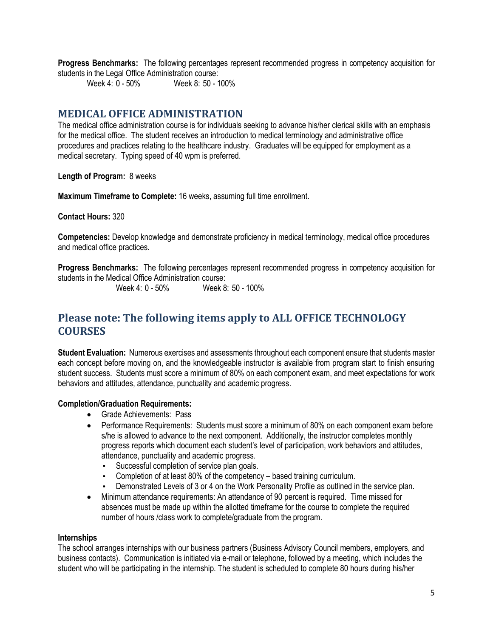**Progress Benchmarks:** The following percentages represent recommended progress in competency acquisition for students in the Legal Office Administration course:

Week 4: 0 - 50% Week 8: 50 - 100%

## **MEDICAL OFFICE ADMINISTRATION**

The medical office administration course is for individuals seeking to advance his/her clerical skills with an emphasis for the medical office. The student receives an introduction to medical terminology and administrative office procedures and practices relating to the healthcare industry. Graduates will be equipped for employment as a medical secretary. Typing speed of 40 wpm is preferred.

**Length of Program:** 8 weeks

**Maximum Timeframe to Complete:** 16 weeks, assuming full time enrollment.

**Contact Hours:** 320

**Competencies:** Develop knowledge and demonstrate proficiency in medical terminology, medical office procedures and medical office practices.

**Progress Benchmarks:** The following percentages represent recommended progress in competency acquisition for students in the Medical Office Administration course:

Week 4: 0 - 50% Week 8: 50 - 100%

## **Please note: The following items apply to ALL OFFICE TECHNOLOGY COURSES**

**Student Evaluation:** Numerous exercises and assessments throughout each component ensure that students master each concept before moving on, and the knowledgeable instructor is available from program start to finish ensuring student success. Students must score a minimum of 80% on each component exam, and meet expectations for work behaviors and attitudes, attendance, punctuality and academic progress.

## **Completion/Graduation Requirements:**

- Grade Achievements: Pass
- Performance Requirements: Students must score a minimum of 80% on each component exam before s/he is allowed to advance to the next component. Additionally, the instructor completes monthly progress reports which document each student's level of participation, work behaviors and attitudes, attendance, punctuality and academic progress.
	- Successful completion of service plan goals.
	- Completion of at least 80% of the competency based training curriculum.
	- Demonstrated Levels of 3 or 4 on the Work Personality Profile as outlined in the service plan.
- Minimum attendance requirements: An attendance of 90 percent is required. Time missed for absences must be made up within the allotted timeframe for the course to complete the required number of hours /class work to complete/graduate from the program.

#### **Internships**

The school arranges internships with our business partners (Business Advisory Council members, employers, and business contacts). Communication is initiated via e-mail or telephone, followed by a meeting, which includes the student who will be participating in the internship. The student is scheduled to complete 80 hours during his/her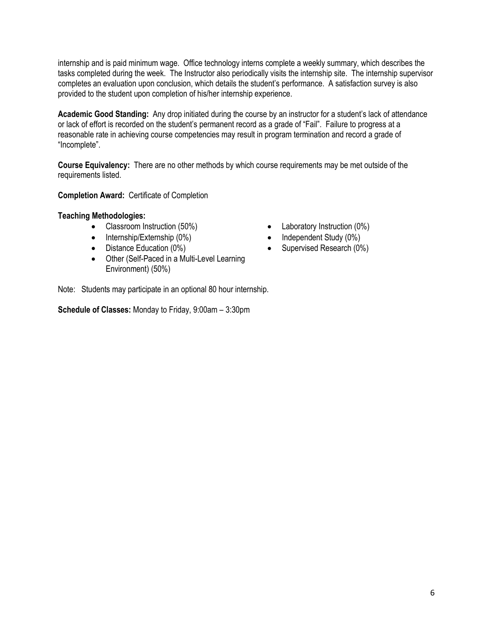internship and is paid minimum wage. Office technology interns complete a weekly summary, which describes the tasks completed during the week. The Instructor also periodically visits the internship site. The internship supervisor completes an evaluation upon conclusion, which details the student's performance. A satisfaction survey is also provided to the student upon completion of his/her internship experience.

**Academic Good Standing:** Any drop initiated during the course by an instructor for a student's lack of attendance or lack of effort is recorded on the student's permanent record as a grade of "Fail". Failure to progress at a reasonable rate in achieving course competencies may result in program termination and record a grade of "Incomplete".

**Course Equivalency:** There are no other methods by which course requirements may be met outside of the requirements listed.

**Completion Award:** Certificate of Completion

#### **Teaching Methodologies:**

- Classroom Instruction (50%) Laboratory Instruction (0%)
- Internship/Externship (0%) Independent Study (0%)
- 
- Other (Self-Paced in a Multi-Level Learning Environment) (50%)
- 
- 
- Distance Education (0%) Supervised Research (0%)

Note: Students may participate in an optional 80 hour internship.

**Schedule of Classes:** Monday to Friday, 9:00am – 3:30pm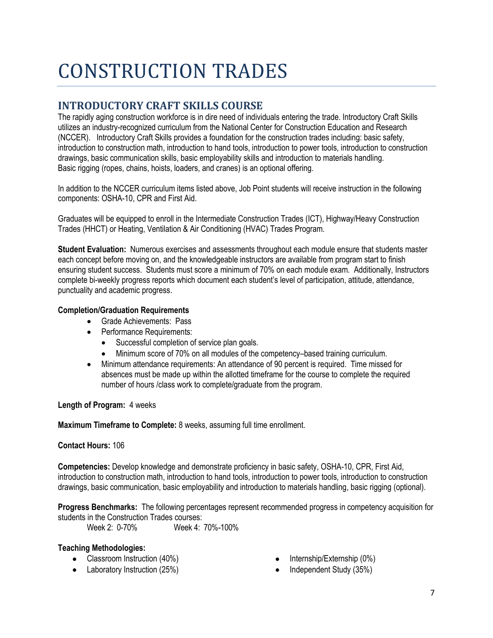## CONSTRUCTION TRADES

## **INTRODUCTORY CRAFT SKILLS COURSE**

The rapidly aging construction workforce is in dire need of individuals entering the trade. Introductory Craft Skills utilizes an industry-recognized curriculum from the National Center for Construction Education and Research (NCCER). Introductory Craft Skills provides a foundation for the construction trades including: basic safety, introduction to construction math, introduction to hand tools, introduction to power tools, introduction to construction drawings, basic communication skills, basic employability skills and introduction to materials handling. Basic rigging (ropes, chains, hoists, loaders, and cranes) is an optional offering.

In addition to the NCCER curriculum items listed above, Job Point students will receive instruction in the following components: OSHA-10, CPR and First Aid.

Graduates will be equipped to enroll in the Intermediate Construction Trades (ICT), Highway/Heavy Construction Trades (HHCT) or Heating, Ventilation & Air Conditioning (HVAC) Trades Program.

**Student Evaluation:** Numerous exercises and assessments throughout each module ensure that students master each concept before moving on, and the knowledgeable instructors are available from program start to finish ensuring student success. Students must score a minimum of 70% on each module exam. Additionally, Instructors complete bi-weekly progress reports which document each student's level of participation, attitude, attendance, punctuality and academic progress.

## **Completion/Graduation Requirements**

- Grade Achievements: Pass
- Performance Requirements:
	- Successful completion of service plan goals.
	- Minimum score of 70% on all modules of the competency–based training curriculum.
- Minimum attendance requirements: An attendance of 90 percent is required. Time missed for absences must be made up within the allotted timeframe for the course to complete the required number of hours /class work to complete/graduate from the program.

## **Length of Program:** 4 weeks

**Maximum Timeframe to Complete:** 8 weeks, assuming full time enrollment.

## **Contact Hours:** 106

**Competencies:** Develop knowledge and demonstrate proficiency in basic safety, OSHA-10, CPR, First Aid, introduction to construction math, introduction to hand tools, introduction to power tools, introduction to construction drawings, basic communication, basic employability and introduction to materials handling, basic rigging (optional).

**Progress Benchmarks:** The following percentages represent recommended progress in competency acquisition for students in the Construction Trades courses:<br>Week 2: 0-70% Week 4:

Week 4: 70%-100%

## **Teaching Methodologies:**

- Classroom Instruction (40%)
- Laboratory Instruction (25%)
- Internship/Externship (0%)
- Independent Study (35%)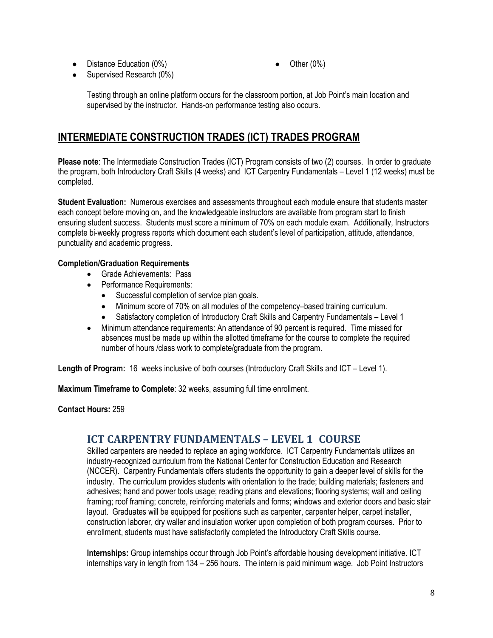• Distance Education (0%)

• Other  $(0\%)$ 

• Supervised Research (0%)

Testing through an online platform occurs for the classroom portion, at Job Point's main location and supervised by the instructor. Hands-on performance testing also occurs.

## **INTERMEDIATE CONSTRUCTION TRADES (ICT) TRADES PROGRAM**

**Please note**: The Intermediate Construction Trades (ICT) Program consists of two (2) courses. In order to graduate the program, both Introductory Craft Skills (4 weeks) and ICT Carpentry Fundamentals – Level 1 (12 weeks) must be completed.

**Student Evaluation:** Numerous exercises and assessments throughout each module ensure that students master each concept before moving on, and the knowledgeable instructors are available from program start to finish ensuring student success. Students must score a minimum of 70% on each module exam. Additionally, Instructors complete bi-weekly progress reports which document each student's level of participation, attitude, attendance, punctuality and academic progress.

## **Completion/Graduation Requirements**

- Grade Achievements: Pass
- Performance Requirements:
	- Successful completion of service plan goals.
	- Minimum score of 70% on all modules of the competency–based training curriculum.
	- Satisfactory completion of Introductory Craft Skills and Carpentry Fundamentals Level 1
- Minimum attendance requirements: An attendance of 90 percent is required. Time missed for absences must be made up within the allotted timeframe for the course to complete the required number of hours /class work to complete/graduate from the program.

**Length of Program:** 16 weeks inclusive of both courses (Introductory Craft Skills and ICT – Level 1).

**Maximum Timeframe to Complete**: 32 weeks, assuming full time enrollment.

**Contact Hours:** 259

## **ICT CARPENTRY FUNDAMENTALS – LEVEL 1 COURSE**

Skilled carpenters are needed to replace an aging workforce. ICT Carpentry Fundamentals utilizes an industry-recognized curriculum from the National Center for Construction Education and Research (NCCER). Carpentry Fundamentals offers students the opportunity to gain a deeper level of skills for the industry. The curriculum provides students with orientation to the trade; building materials; fasteners and adhesives; hand and power tools usage; reading plans and elevations; flooring systems; wall and ceiling framing; roof framing; concrete, reinforcing materials and forms; windows and exterior doors and basic stair layout. Graduates will be equipped for positions such as carpenter, carpenter helper, carpet installer, construction laborer, dry waller and insulation worker upon completion of both program courses. Prior to enrollment, students must have satisfactorily completed the Introductory Craft Skills course.

**Internships:** Group internships occur through Job Point's affordable housing development initiative. ICT internships vary in length from 134 – 256 hours. The intern is paid minimum wage. Job Point Instructors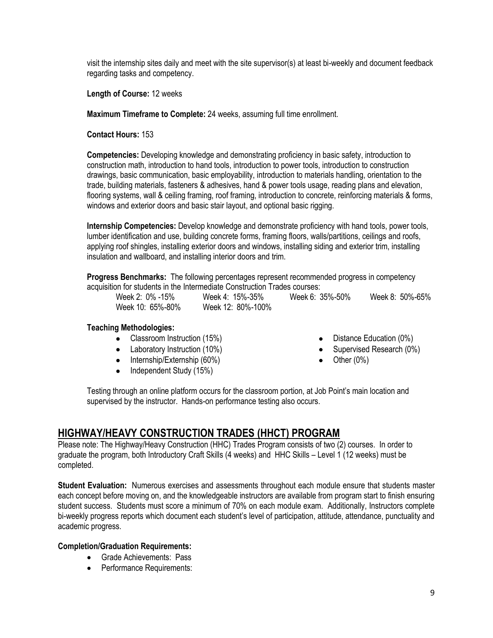visit the internship sites daily and meet with the site supervisor(s) at least bi-weekly and document feedback regarding tasks and competency.

**Length of Course:** 12 weeks

**Maximum Timeframe to Complete:** 24 weeks, assuming full time enrollment.

**Contact Hours:** 153

**Competencies:** Developing knowledge and demonstrating proficiency in basic safety, introduction to construction math, introduction to hand tools, introduction to power tools, introduction to construction drawings, basic communication, basic employability, introduction to materials handling, orientation to the trade, building materials, fasteners & adhesives, hand & power tools usage, reading plans and elevation, flooring systems, wall & ceiling framing, roof framing, introduction to concrete, reinforcing materials & forms, windows and exterior doors and basic stair layout, and optional basic rigging.

**Internship Competencies:** Develop knowledge and demonstrate proficiency with hand tools, power tools, lumber identification and use, building concrete forms, framing floors, walls/partitions, ceilings and roofs, applying roof shingles, installing exterior doors and windows, installing siding and exterior trim, installing insulation and wallboard, and installing interior doors and trim.

**Progress Benchmarks:** The following percentages represent recommended progress in competency acquisition for students in the Intermediate Construction Trades courses:

Week 2: 0% -15% Week 4: 15%-35% Week 6: 35%-50% Week 8: 50%-65%

Week 10: 65%-80% Week 12: 80%-100%

## **Teaching Methodologies:**

- Classroom Instruction (15%)
- Laboratory Instruction (10%)
- Internship/Externship (60%)
- Independent Study (15%)
- Distance Education (0%)
- Supervised Research (0%)
- Other (0%)

Testing through an online platform occurs for the classroom portion, at Job Point's main location and supervised by the instructor. Hands-on performance testing also occurs.

## **HIGHWAY/HEAVY CONSTRUCTION TRADES (HHCT) PROGRAM**

Please note: The Highway/Heavy Construction (HHC) Trades Program consists of two (2) courses. In order to graduate the program, both Introductory Craft Skills (4 weeks) and HHC Skills – Level 1 (12 weeks) must be completed.

**Student Evaluation:** Numerous exercises and assessments throughout each module ensure that students master each concept before moving on, and the knowledgeable instructors are available from program start to finish ensuring student success. Students must score a minimum of 70% on each module exam. Additionally, Instructors complete bi-weekly progress reports which document each student's level of participation, attitude, attendance, punctuality and academic progress.

#### **Completion/Graduation Requirements:**

- Grade Achievements: Pass
- Performance Requirements: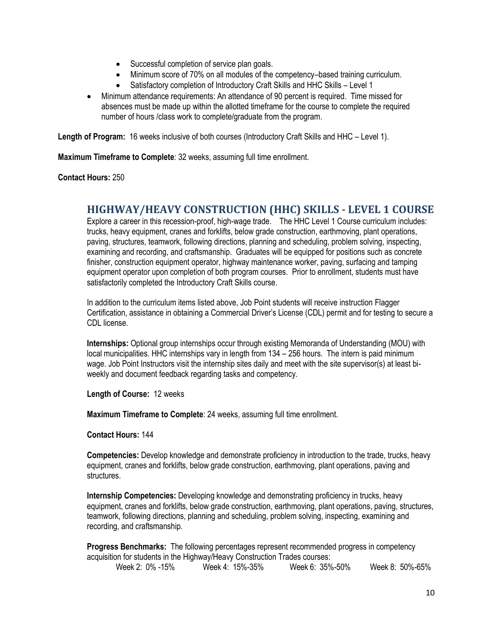- Successful completion of service plan goals.
- Minimum score of 70% on all modules of the competency–based training curriculum.
- Satisfactory completion of Introductory Craft Skills and HHC Skills Level 1
- Minimum attendance requirements: An attendance of 90 percent is required. Time missed for absences must be made up within the allotted timeframe for the course to complete the required number of hours /class work to complete/graduate from the program.

**Length of Program:** 16 weeks inclusive of both courses (Introductory Craft Skills and HHC – Level 1).

**Maximum Timeframe to Complete**: 32 weeks, assuming full time enrollment.

**Contact Hours:** 250

## **HIGHWAY/HEAVY CONSTRUCTION (HHC) SKILLS - LEVEL 1 COURSE**

Explore a career in this recession-proof, high-wage trade. The HHC Level 1 Course curriculum includes: trucks, heavy equipment, cranes and forklifts, below grade construction, earthmoving, plant operations, paving, structures, teamwork, following directions, planning and scheduling, problem solving, inspecting, examining and recording, and craftsmanship. Graduates will be equipped for positions such as concrete finisher, construction equipment operator, highway maintenance worker, paving, surfacing and tamping equipment operator upon completion of both program courses. Prior to enrollment, students must have satisfactorily completed the Introductory Craft Skills course.

In addition to the curriculum items listed above, Job Point students will receive instruction Flagger Certification, assistance in obtaining a Commercial Driver's License (CDL) permit and for testing to secure a CDL license.

**Internships:** Optional group internships occur through existing Memoranda of Understanding (MOU) with local municipalities. HHC internships vary in length from 134 – 256 hours. The intern is paid minimum wage. Job Point Instructors visit the internship sites daily and meet with the site supervisor(s) at least biweekly and document feedback regarding tasks and competency.

**Length of Course:** 12 weeks

**Maximum Timeframe to Complete**: 24 weeks, assuming full time enrollment.

**Contact Hours:** 144

**Competencies:** Develop knowledge and demonstrate proficiency in introduction to the trade, trucks, heavy equipment, cranes and forklifts, below grade construction, earthmoving, plant operations, paving and structures.

**Internship Competencies:** Developing knowledge and demonstrating proficiency in trucks, heavy equipment, cranes and forklifts, below grade construction, earthmoving, plant operations, paving, structures, teamwork, following directions, planning and scheduling, problem solving, inspecting, examining and recording, and craftsmanship.

**Progress Benchmarks:** The following percentages represent recommended progress in competency acquisition for students in the Highway/Heavy Construction Trades courses: Week 2: 0% -15% Week 4: 15%-35% Week 6: 35%-50% Week 8: 50%-65%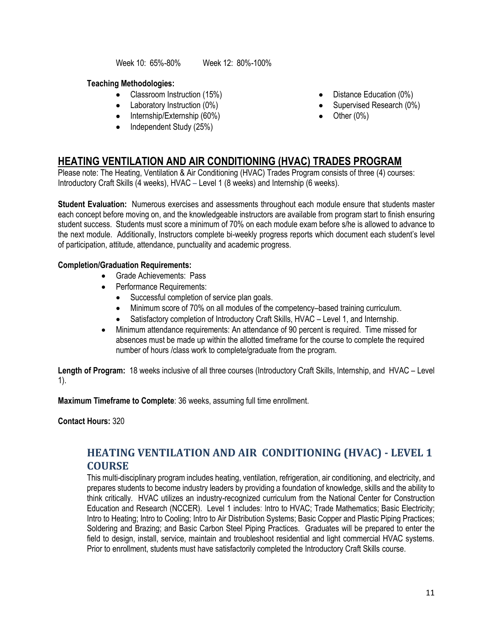Week 10: 65%-80% Week 12: 80%-100%

## **Teaching Methodologies:**

- Classroom Instruction (15%)
- Laboratory Instruction (0%)
- Internship/Externship (60%)
- Independent Study (25%)
- Distance Education (0%)
- Supervised Research (0%)
- $\bullet$  Other (0%)

## **HEATING VENTILATION AND AIR CONDITIONING (HVAC) TRADES PROGRAM**

Please note: The Heating, Ventilation & Air Conditioning (HVAC) Trades Program consists of three (4) courses: Introductory Craft Skills (4 weeks), HVAC – Level 1 (8 weeks) and Internship (6 weeks).

**Student Evaluation:** Numerous exercises and assessments throughout each module ensure that students master each concept before moving on, and the knowledgeable instructors are available from program start to finish ensuring student success. Students must score a minimum of 70% on each module exam before s/he is allowed to advance to the next module. Additionally, Instructors complete bi-weekly progress reports which document each student's level of participation, attitude, attendance, punctuality and academic progress.

## **Completion/Graduation Requirements:**

- Grade Achievements: Pass
- Performance Requirements:
	- Successful completion of service plan goals.
	- Minimum score of 70% on all modules of the competency–based training curriculum.
	- Satisfactory completion of Introductory Craft Skills, HVAC Level 1, and Internship.
- Minimum attendance requirements: An attendance of 90 percent is required. Time missed for absences must be made up within the allotted timeframe for the course to complete the required number of hours /class work to complete/graduate from the program.

**Length of Program:** 18 weeks inclusive of all three courses (Introductory Craft Skills, Internship, and HVAC – Level 1).

**Maximum Timeframe to Complete**: 36 weeks, assuming full time enrollment.

**Contact Hours:** 320

## **HEATING VENTILATION AND AIR CONDITIONING (HVAC) - LEVEL 1 COURSE**

This multi-disciplinary program includes heating, ventilation, refrigeration, air conditioning, and electricity, and prepares students to become industry leaders by providing a foundation of knowledge, skills and the ability to think critically. HVAC utilizes an industry-recognized curriculum from the National Center for Construction Education and Research (NCCER). Level 1 includes: Intro to HVAC; Trade Mathematics; Basic Electricity; Intro to Heating; Intro to Cooling; Intro to Air Distribution Systems; Basic Copper and Plastic Piping Practices; Soldering and Brazing; and Basic Carbon Steel Piping Practices. Graduates will be prepared to enter the field to design, install, service, maintain and troubleshoot residential and light commercial HVAC systems. Prior to enrollment, students must have satisfactorily completed the Introductory Craft Skills course.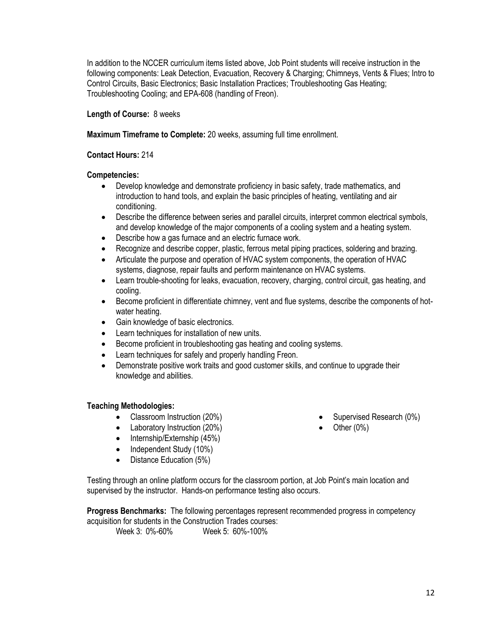In addition to the NCCER curriculum items listed above, Job Point students will receive instruction in the following components: Leak Detection, Evacuation, Recovery & Charging; Chimneys, Vents & Flues; Intro to Control Circuits, Basic Electronics; Basic Installation Practices; Troubleshooting Gas Heating; Troubleshooting Cooling; and EPA-608 (handling of Freon).

#### **Length of Course:** 8 weeks

#### **Maximum Timeframe to Complete:** 20 weeks, assuming full time enrollment.

#### **Contact Hours:** 214

#### **Competencies:**

- Develop knowledge and demonstrate proficiency in basic safety, trade mathematics, and introduction to hand tools, and explain the basic principles of heating, ventilating and air conditioning.
- Describe the difference between series and parallel circuits, interpret common electrical symbols, and develop knowledge of the major components of a cooling system and a heating system.
- Describe how a gas furnace and an electric furnace work.
- Recognize and describe copper, plastic, ferrous metal piping practices, soldering and brazing.
- Articulate the purpose and operation of HVAC system components, the operation of HVAC systems, diagnose, repair faults and perform maintenance on HVAC systems.
- Learn trouble-shooting for leaks, evacuation, recovery, charging, control circuit, gas heating, and cooling.
- Become proficient in differentiate chimney, vent and flue systems, describe the components of hotwater heating.
- Gain knowledge of basic electronics.
- Learn techniques for installation of new units.
- Become proficient in troubleshooting gas heating and cooling systems.
- Learn techniques for safely and properly handling Freon.
- Demonstrate positive work traits and good customer skills, and continue to upgrade their knowledge and abilities.

#### **Teaching Methodologies:**

- Classroom Instruction (20%)
- Laboratory Instruction (20%)
- Internship/Externship (45%)
- Independent Study (10%)
- Distance Education (5%)
- Supervised Research (0%)
- Other  $(0%)$

Testing through an online platform occurs for the classroom portion, at Job Point's main location and supervised by the instructor. Hands-on performance testing also occurs.

**Progress Benchmarks:** The following percentages represent recommended progress in competency acquisition for students in the Construction Trades courses:

Week 3: 0%-60% Week 5: 60%-100%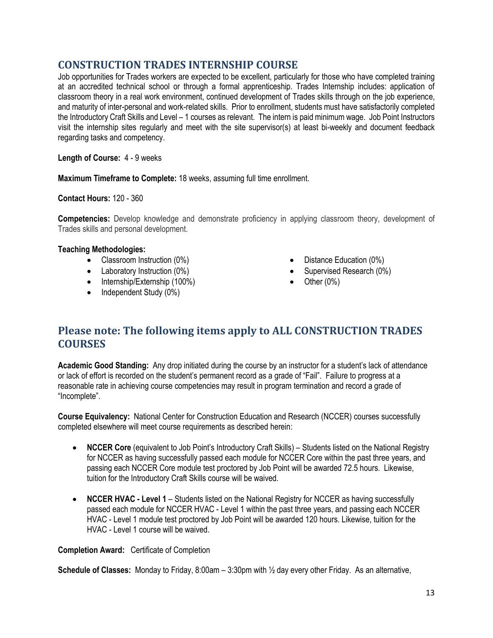## **CONSTRUCTION TRADES INTERNSHIP COURSE**

Job opportunities for Trades workers are expected to be excellent, particularly for those who have completed training at an accredited technical school or through a formal apprenticeship. Trades Internship includes: application of classroom theory in a real work environment, continued development of Trades skills through on the job experience, and maturity of inter-personal and work-related skills. Prior to enrollment, students must have satisfactorily completed the Introductory Craft Skills and Level – 1 courses as relevant. The intern is paid minimum wage. Job Point Instructors visit the internship sites regularly and meet with the site supervisor(s) at least bi-weekly and document feedback regarding tasks and competency.

**Length of Course:** 4 - 9 weeks

**Maximum Timeframe to Complete:** 18 weeks, assuming full time enrollment.

**Contact Hours:** 120 - 360

**Competencies:** Develop knowledge and demonstrate proficiency in applying classroom theory, development of Trades skills and personal development.

#### **Teaching Methodologies:**

- Classroom Instruction (0%)
- Laboratory Instruction (0%)
- Internship/Externship (100%)
- Independent Study (0%)
- Distance Education (0%)
- Supervised Research (0%)
- Other  $(0\%)$

## **Please note: The following items apply to ALL CONSTRUCTION TRADES COURSES**

**Academic Good Standing:** Any drop initiated during the course by an instructor for a student's lack of attendance or lack of effort is recorded on the student's permanent record as a grade of "Fail". Failure to progress at a reasonable rate in achieving course competencies may result in program termination and record a grade of "Incomplete".

**Course Equivalency:** National Center for Construction Education and Research (NCCER) courses successfully completed elsewhere will meet course requirements as described herein:

- **NCCER Core** (equivalent to Job Point's Introductory Craft Skills) Students listed on the National Registry for NCCER as having successfully passed each module for NCCER Core within the past three years, and passing each NCCER Core module test proctored by Job Point will be awarded 72.5 hours. Likewise, tuition for the Introductory Craft Skills course will be waived.
- **NCCER HVAC - Level 1** Students listed on the National Registry for NCCER as having successfully passed each module for NCCER HVAC - Level 1 within the past three years, and passing each NCCER HVAC - Level 1 module test proctored by Job Point will be awarded 120 hours. Likewise, tuition for the HVAC - Level 1 course will be waived.

**Completion Award:** Certificate of Completion

**Schedule of Classes:** Monday to Friday, 8:00am – 3:30pm with ½ day every other Friday. As an alternative,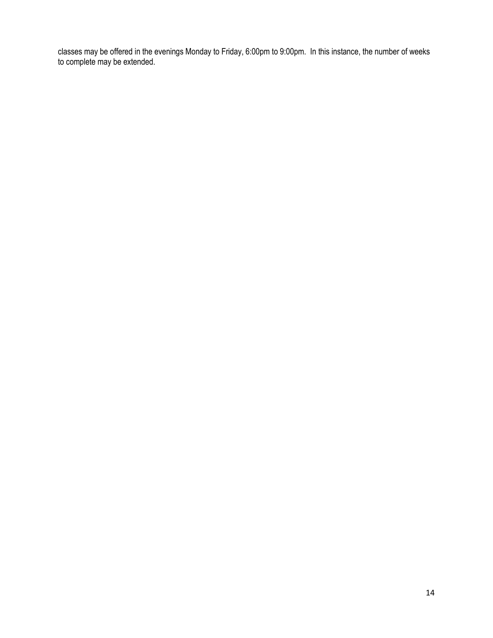classes may be offered in the evenings Monday to Friday, 6:00pm to 9:00pm. In this instance, the number of weeks to complete may be extended.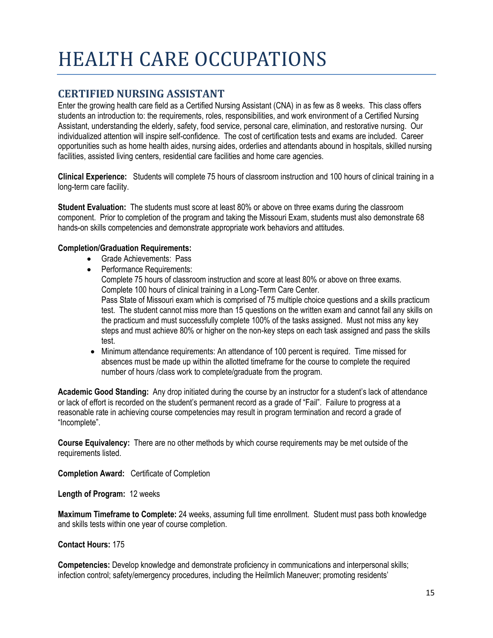## HEALTH CARE OCCUPATIONS

## **CERTIFIED NURSING ASSISTANT**

Enter the growing health care field as a Certified Nursing Assistant (CNA) in as few as 8 weeks. This class offers students an introduction to: the requirements, roles, responsibilities, and work environment of a Certified Nursing Assistant, understanding the elderly, safety, food service, personal care, elimination, and restorative nursing. Our individualized attention will inspire self-confidence. The cost of certification tests and exams are included. Career opportunities such as home health aides, nursing aides, orderlies and attendants abound in hospitals, skilled nursing facilities, assisted living centers, residential care facilities and home care agencies.

**Clinical Experience:** Students will complete 75 hours of classroom instruction and 100 hours of clinical training in a long-term care facility.

**Student Evaluation:** The students must score at least 80% or above on three exams during the classroom component. Prior to completion of the program and taking the Missouri Exam, students must also demonstrate 68 hands-on skills competencies and demonstrate appropriate work behaviors and attitudes.

#### **Completion/Graduation Requirements:**

- Grade Achievements: Pass
- Performance Requirements: Complete 75 hours of classroom instruction and score at least 80% or above on three exams. Complete 100 hours of clinical training in a Long-Term Care Center. Pass State of Missouri exam which is comprised of 75 multiple choice questions and a skills practicum test. The student cannot miss more than 15 questions on the written exam and cannot fail any skills on the practicum and must successfully complete 100% of the tasks assigned. Must not miss any key steps and must achieve 80% or higher on the non-key steps on each task assigned and pass the skills test.
- Minimum attendance requirements: An attendance of 100 percent is required. Time missed for absences must be made up within the allotted timeframe for the course to complete the required number of hours /class work to complete/graduate from the program.

**Academic Good Standing:** Any drop initiated during the course by an instructor for a student's lack of attendance or lack of effort is recorded on the student's permanent record as a grade of "Fail". Failure to progress at a reasonable rate in achieving course competencies may result in program termination and record a grade of "Incomplete".

**Course Equivalency:** There are no other methods by which course requirements may be met outside of the requirements listed.

**Completion Award:** Certificate of Completion

**Length of Program:** 12 weeks

**Maximum Timeframe to Complete:** 24 weeks, assuming full time enrollment. Student must pass both knowledge and skills tests within one year of course completion.

## **Contact Hours:** 175

**Competencies:** Develop knowledge and demonstrate proficiency in communications and interpersonal skills; infection control; safety/emergency procedures, including the Heilmlich Maneuver; promoting residents'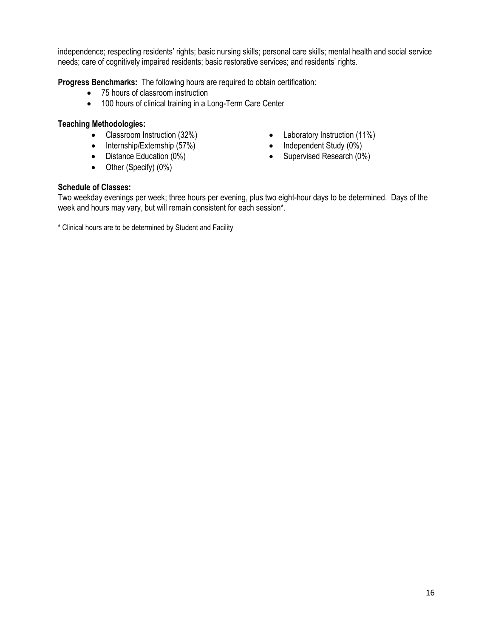independence; respecting residents' rights; basic nursing skills; personal care skills; mental health and social service needs; care of cognitively impaired residents; basic restorative services; and residents' rights.

**Progress Benchmarks:** The following hours are required to obtain certification:

- 75 hours of classroom instruction
- 100 hours of clinical training in a Long-Term Care Center

#### **Teaching Methodologies:**

- 
- Internship/Externship (57%) Independent Study (0%)
- 
- Other (Specify) (0%)
- Classroom Instruction (32%) Laboratory Instruction (11%)
	-
- Distance Education (0%) Supervised Research (0%)

#### **Schedule of Classes:**

Two weekday evenings per week; three hours per evening, plus two eight-hour days to be determined. Days of the week and hours may vary, but will remain consistent for each session\*.

\* Clinical hours are to be determined by Student and Facility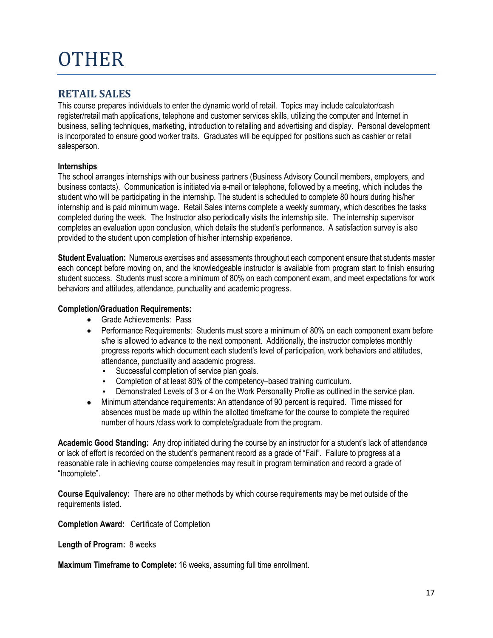## **OTHER**

## **RETAIL SALES**

This course prepares individuals to enter the dynamic world of retail. Topics may include calculator/cash register/retail math applications, telephone and customer services skills, utilizing the computer and Internet in business, selling techniques, marketing, introduction to retailing and advertising and display. Personal development is incorporated to ensure good worker traits. Graduates will be equipped for positions such as cashier or retail salesperson.

## **Internships**

The school arranges internships with our business partners (Business Advisory Council members, employers, and business contacts). Communication is initiated via e-mail or telephone, followed by a meeting, which includes the student who will be participating in the internship. The student is scheduled to complete 80 hours during his/her internship and is paid minimum wage. Retail Sales interns complete a weekly summary, which describes the tasks completed during the week. The Instructor also periodically visits the internship site. The internship supervisor completes an evaluation upon conclusion, which details the student's performance. A satisfaction survey is also provided to the student upon completion of his/her internship experience.

**Student Evaluation:** Numerous exercises and assessments throughout each component ensure that students master each concept before moving on, and the knowledgeable instructor is available from program start to finish ensuring student success. Students must score a minimum of 80% on each component exam, and meet expectations for work behaviors and attitudes, attendance, punctuality and academic progress.

#### **Completion/Graduation Requirements:**

- Grade Achievements: Pass
- Performance Requirements: Students must score a minimum of 80% on each component exam before s/he is allowed to advance to the next component. Additionally, the instructor completes monthly progress reports which document each student's level of participation, work behaviors and attitudes, attendance, punctuality and academic progress.
	- Successful completion of service plan goals.
	- Completion of at least 80% of the competency–based training curriculum.
	- Demonstrated Levels of 3 or 4 on the Work Personality Profile as outlined in the service plan.
- Minimum attendance requirements: An attendance of 90 percent is required. Time missed for absences must be made up within the allotted timeframe for the course to complete the required number of hours /class work to complete/graduate from the program.

**Academic Good Standing:** Any drop initiated during the course by an instructor for a student's lack of attendance or lack of effort is recorded on the student's permanent record as a grade of "Fail". Failure to progress at a reasonable rate in achieving course competencies may result in program termination and record a grade of "Incomplete".

**Course Equivalency:** There are no other methods by which course requirements may be met outside of the requirements listed.

**Completion Award:** Certificate of Completion

**Length of Program:** 8 weeks

**Maximum Timeframe to Complete:** 16 weeks, assuming full time enrollment.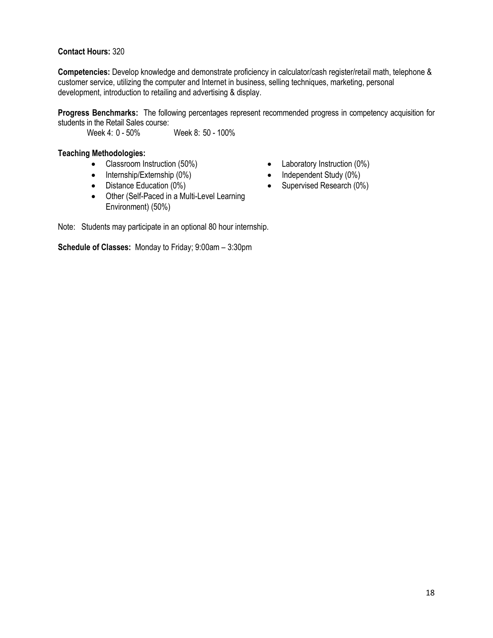#### **Contact Hours:** 320

**Competencies:** Develop knowledge and demonstrate proficiency in calculator/cash register/retail math, telephone & customer service, utilizing the computer and Internet in business, selling techniques, marketing, personal development, introduction to retailing and advertising & display.

**Progress Benchmarks:** The following percentages represent recommended progress in competency acquisition for students in the Retail Sales course:<br>Week 4: 0 - 50%

Week 8: 50 - 100%

#### **Teaching Methodologies:**

- Classroom Instruction (50%) Laboratory Instruction (0%)
- Internship/Externship (0%) Independent Study (0%)
- 
- Other (Self-Paced in a Multi-Level Learning Environment) (50%)
- 
- 
- Distance Education (0%) Supervised Research (0%)

Note: Students may participate in an optional 80 hour internship.

**Schedule of Classes:** Monday to Friday; 9:00am – 3:30pm